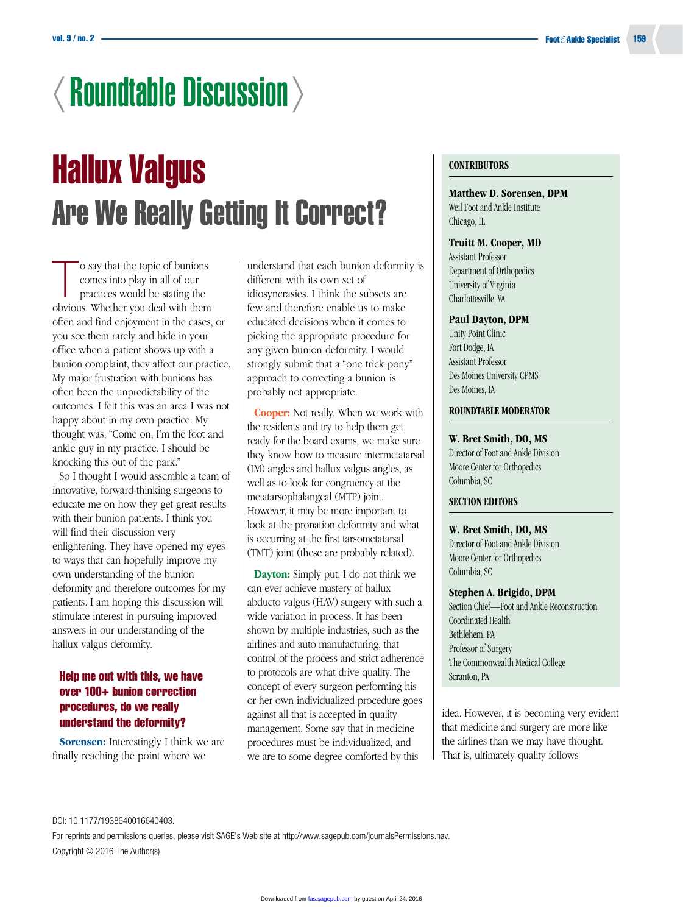# $\langle$  Roundtable Discussion  $\rangle$

# Hallux Valgus Are We Really Getting It Correct?

o say that the topic of bunions<br>
comes into play in all of our<br>
practices would be stating the comes into play in all of our obvious. Whether you deal with them often and find enjoyment in the cases, or you see them rarely and hide in your office when a patient shows up with a bunion complaint, they affect our practice. My major frustration with bunions has often been the unpredictability of the outcomes. I felt this was an area I was not happy about in my own practice. My thought was, "Come on, I'm the foot and ankle guy in my practice, I should be knocking this out of the park."

So I thought I would assemble a team of innovative, forward-thinking surgeons to educate me on how they get great results with their bunion patients. I think you will find their discussion very enlightening. They have opened my eyes to ways that can hopefully improve my own understanding of the bunion deformity and therefore outcomes for my patients. I am hoping this discussion will stimulate interest in pursuing improved answers in our understanding of the hallux valgus deformity.

# Help me out with this, we have over 100+ bunion correction procedures, do we really understand the deformity?

**Sorensen:** Interestingly I think we are finally reaching the point where we

understand that each bunion deformity is different with its own set of idiosyncrasies. I think the subsets are few and therefore enable us to make educated decisions when it comes to picking the appropriate procedure for any given bunion deformity. I would strongly submit that a "one trick pony" approach to correcting a bunion is probably not appropriate.

Cooper: Not really. When we work with the residents and try to help them get ready for the board exams, we make sure they know how to measure intermetatarsal (IM) angles and hallux valgus angles, as well as to look for congruency at the metatarsophalangeal (MTP) joint. However, it may be more important to look at the pronation deformity and what is occurring at the first tarsometatarsal (TMT) joint (these are probably related).

Dayton: Simply put, I do not think we can ever achieve mastery of hallux abducto valgus (HAV) surgery with such a wide variation in process. It has been shown by multiple industries, such as the airlines and auto manufacturing, that control of the process and strict adherence to protocols are what drive quality. The concept of every surgeon performing his or her own individualized procedure goes against all that is accepted in quality management. Some say that in medicine procedures must be individualized, and we are to some degree comforted by this

### **CONTRIBUTORS**

Matthew D. Sorensen, DPM Weil Foot and Ankle Institute Chicago, IL

## Truitt M. Cooper, MD

Assistant Professor Department of Orthopedics University of Virginia Charlottesville, VA

## Paul Dayton, DPM

Unity Point Clinic Fort Dodge, IA Assistant Professor Des Moines University CPMS Des Moines, IA

## ROUNDTABLE MODERATOR

### W. Bret Smith, DO, MS

Director of Foot and Ankle Division Moore Center for Orthopedics Columbia, SC

## SECTION EDITORS

#### W. Bret Smith, DO, MS

Director of Foot and Ankle Division Moore Center for Orthopedics Columbia, SC

## Stephen A. Brigido, DPM

Section Chief—Foot and Ankle Reconstruction Coordinated Health Bethlehem, PA Professor of Surgery The Commonwealth Medical College Scranton, PA

idea. However, it is becoming very evident that medicine and surgery are more like the airlines than we may have thought. That is, ultimately quality follows

#### DOI: 10.1177/1938640016640403.

For reprints and permissions queries, please visit SAGE's Web site at [http://www.sagepub.com/journalsPermissions.nav.](http://www.sagepub.com/journalsPermissions.nav) Copyright © 2016 The Author(s)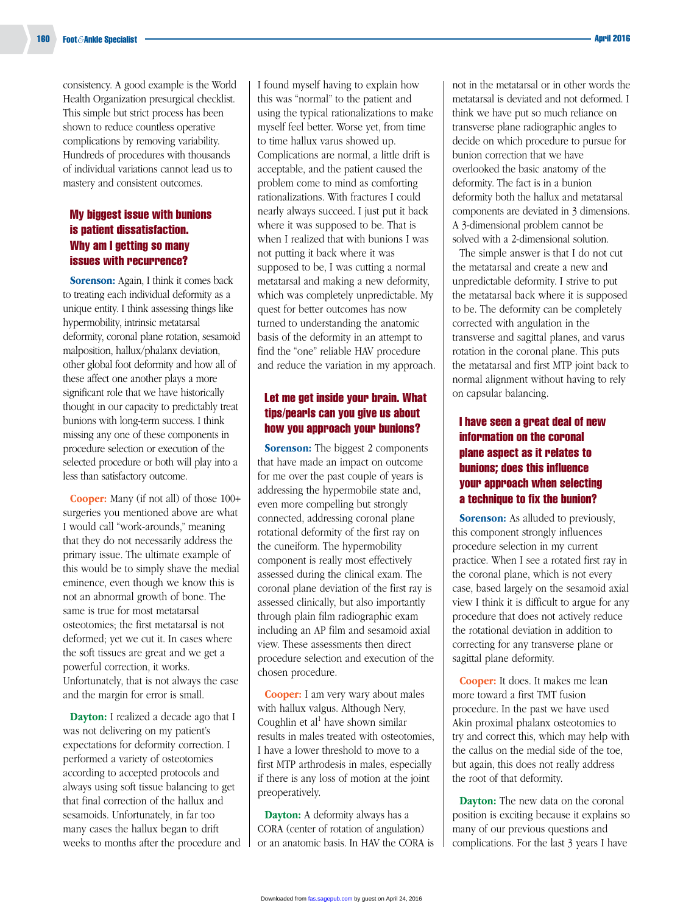consistency. A good example is the World Health Organization presurgical checklist. This simple but strict process has been shown to reduce countless operative complications by removing variability. Hundreds of procedures with thousands of individual variations cannot lead us to mastery and consistent outcomes.

## My biggest issue with bunions is patient dissatisfaction. Why am I getting so many issues with recurrence?

Sorenson: Again, I think it comes back to treating each individual deformity as a unique entity. I think assessing things like hypermobility, intrinsic metatarsal deformity, coronal plane rotation, sesamoid malposition, hallux/phalanx deviation, other global foot deformity and how all of these affect one another plays a more significant role that we have historically thought in our capacity to predictably treat bunions with long-term success. I think missing any one of these components in procedure selection or execution of the selected procedure or both will play into a less than satisfactory outcome.

Cooper: Many (if not all) of those 100+ surgeries you mentioned above are what I would call "work-arounds," meaning that they do not necessarily address the primary issue. The ultimate example of this would be to simply shave the medial eminence, even though we know this is not an abnormal growth of bone. The same is true for most metatarsal osteotomies; the first metatarsal is not deformed; yet we cut it. In cases where the soft tissues are great and we get a powerful correction, it works. Unfortunately, that is not always the case and the margin for error is small.

Dayton: I realized a decade ago that I was not delivering on my patient's expectations for deformity correction. I performed a variety of osteotomies according to accepted protocols and always using soft tissue balancing to get that final correction of the hallux and sesamoids. Unfortunately, in far too many cases the hallux began to drift weeks to months after the procedure and I found myself having to explain how this was "normal" to the patient and using the typical rationalizations to make myself feel better. Worse yet, from time to time hallux varus showed up. Complications are normal, a little drift is acceptable, and the patient caused the problem come to mind as comforting rationalizations. With fractures I could nearly always succeed. I just put it back where it was supposed to be. That is when I realized that with bunions I was not putting it back where it was supposed to be, I was cutting a normal metatarsal and making a new deformity, which was completely unpredictable. My quest for better outcomes has now turned to understanding the anatomic basis of the deformity in an attempt to find the "one" reliable HAV procedure and reduce the variation in my approach.

## Let me get inside your brain. What tips/pearls can you give us about how you approach your bunions?

**Sorenson:** The biggest 2 components that have made an impact on outcome for me over the past couple of years is addressing the hypermobile state and, even more compelling but strongly connected, addressing coronal plane rotational deformity of the first ray on the cuneiform. The hypermobility component is really most effectively assessed during the clinical exam. The coronal plane deviation of the first ray is assessed clinically, but also importantly through plain film radiographic exam including an AP film and sesamoid axial view. These assessments then direct procedure selection and execution of the chosen procedure.

Cooper: I am very wary about males with hallux valgus. Although Nery, Coughlin et al<sup>1</sup> have shown similar results in males treated with osteotomies, I have a lower threshold to move to a first MTP arthrodesis in males, especially if there is any loss of motion at the joint preoperatively.

Dayton: A deformity always has a CORA (center of rotation of angulation) or an anatomic basis. In HAV the CORA is not in the metatarsal or in other words the metatarsal is deviated and not deformed. I think we have put so much reliance on transverse plane radiographic angles to decide on which procedure to pursue for bunion correction that we have overlooked the basic anatomy of the deformity. The fact is in a bunion deformity both the hallux and metatarsal components are deviated in 3 dimensions. A 3-dimensional problem cannot be solved with a 2-dimensional solution.

The simple answer is that I do not cut the metatarsal and create a new and unpredictable deformity. I strive to put the metatarsal back where it is supposed to be. The deformity can be completely corrected with angulation in the transverse and sagittal planes, and varus rotation in the coronal plane. This puts the metatarsal and first MTP joint back to normal alignment without having to rely on capsular balancing.

# I have seen a great deal of new information on the coronal plane aspect as it relates to bunions; does this influence your approach when selecting a technique to fix the bunion?

**Sorenson:** As alluded to previously, this component strongly influences procedure selection in my current practice. When I see a rotated first ray in the coronal plane, which is not every case, based largely on the sesamoid axial view I think it is difficult to argue for any procedure that does not actively reduce the rotational deviation in addition to correcting for any transverse plane or sagittal plane deformity.

Cooper: It does. It makes me lean more toward a first TMT fusion procedure. In the past we have used Akin proximal phalanx osteotomies to try and correct this, which may help with the callus on the medial side of the toe, but again, this does not really address the root of that deformity.

**Dayton:** The new data on the coronal position is exciting because it explains so many of our previous questions and complications. For the last 3 years I have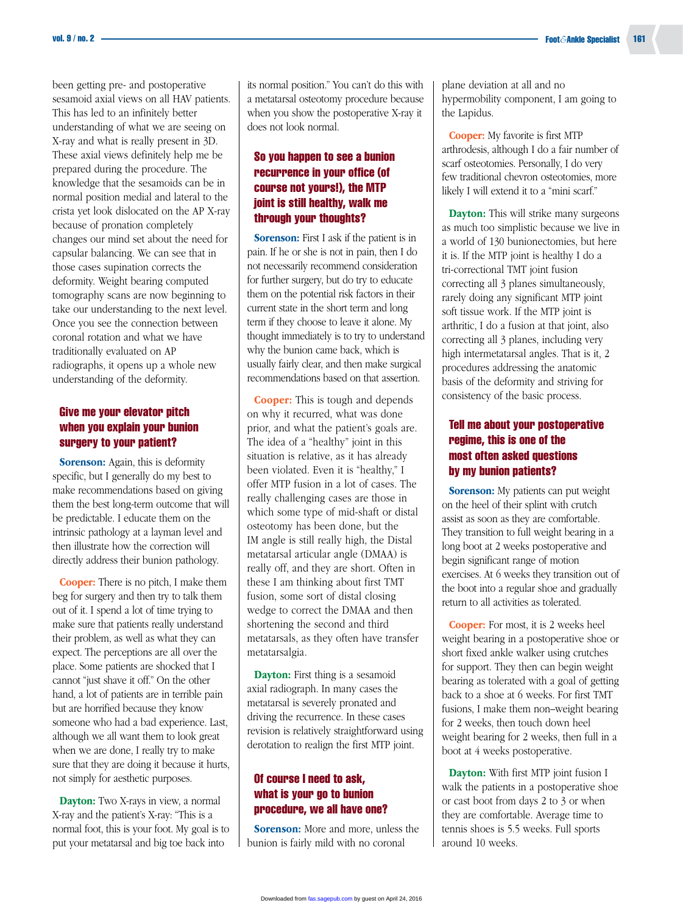vol. 9 / no. 2 Foot *&* Ankle Specialist 161

been getting pre- and postoperative sesamoid axial views on all HAV patients. This has led to an infinitely better understanding of what we are seeing on X-ray and what is really present in 3D. These axial views definitely help me be prepared during the procedure. The knowledge that the sesamoids can be in normal position medial and lateral to the crista yet look dislocated on the AP X-ray because of pronation completely changes our mind set about the need for capsular balancing. We can see that in those cases supination corrects the deformity. Weight bearing computed tomography scans are now beginning to take our understanding to the next level. Once you see the connection between coronal rotation and what we have traditionally evaluated on AP radiographs, it opens up a whole new understanding of the deformity.

# Give me your elevator pitch when you explain your bunion surgery to your patient?

Sorenson: Again, this is deformity specific, but I generally do my best to make recommendations based on giving them the best long-term outcome that will be predictable. I educate them on the intrinsic pathology at a layman level and then illustrate how the correction will directly address their bunion pathology.

Cooper: There is no pitch, I make them beg for surgery and then try to talk them out of it. I spend a lot of time trying to make sure that patients really understand their problem, as well as what they can expect. The perceptions are all over the place. Some patients are shocked that I cannot "just shave it off." On the other hand, a lot of patients are in terrible pain but are horrified because they know someone who had a bad experience. Last, although we all want them to look great when we are done, I really try to make sure that they are doing it because it hurts, not simply for aesthetic purposes.

Dayton: Two X-rays in view, a normal X-ray and the patient's X-ray: "This is a normal foot, this is your foot. My goal is to put your metatarsal and big toe back into

its normal position." You can't do this with a metatarsal osteotomy procedure because when you show the postoperative X-ray it does not look normal.

# So you happen to see a bunion recurrence in your office (of course not yours!), the MTP joint is still healthy, walk me through your thoughts?

Sorenson: First I ask if the patient is in pain. If he or she is not in pain, then I do not necessarily recommend consideration for further surgery, but do try to educate them on the potential risk factors in their current state in the short term and long term if they choose to leave it alone. My thought immediately is to try to understand why the bunion came back, which is usually fairly clear, and then make surgical recommendations based on that assertion.

Cooper: This is tough and depends on why it recurred, what was done prior, and what the patient's goals are. The idea of a "healthy" joint in this situation is relative, as it has already been violated. Even it is "healthy," I offer MTP fusion in a lot of cases. The really challenging cases are those in which some type of mid-shaft or distal osteotomy has been done, but the IM angle is still really high, the Distal metatarsal articular angle (DMAA) is really off, and they are short. Often in these I am thinking about first TMT fusion, some sort of distal closing wedge to correct the DMAA and then shortening the second and third metatarsals, as they often have transfer metatarsalgia.

**Dayton:** First thing is a sesamoid axial radiograph. In many cases the metatarsal is severely pronated and driving the recurrence. In these cases revision is relatively straightforward using derotation to realign the first MTP joint.

# Of course I need to ask, what is your go to bunion procedure, we all have one?

**Sorenson:** More and more, unless the bunion is fairly mild with no coronal

plane deviation at all and no hypermobility component, I am going to the Lapidus.

Cooper: My favorite is first MTP arthrodesis, although I do a fair number of scarf osteotomies. Personally, I do very few traditional chevron osteotomies, more likely I will extend it to a "mini scarf."

Dayton: This will strike many surgeons as much too simplistic because we live in a world of 130 bunionectomies, but here it is. If the MTP joint is healthy I do a tri-correctional TMT joint fusion correcting all 3 planes simultaneously, rarely doing any significant MTP joint soft tissue work. If the MTP joint is arthritic, I do a fusion at that joint, also correcting all 3 planes, including very high intermetatarsal angles. That is it, 2 procedures addressing the anatomic basis of the deformity and striving for consistency of the basic process.

# Tell me about your postoperative regime, this is one of the most often asked questions by my bunion patients?

**Sorenson:** My patients can put weight on the heel of their splint with crutch assist as soon as they are comfortable. They transition to full weight bearing in a long boot at 2 weeks postoperative and begin significant range of motion exercises. At 6 weeks they transition out of the boot into a regular shoe and gradually return to all activities as tolerated.

Cooper: For most, it is 2 weeks heel weight bearing in a postoperative shoe or short fixed ankle walker using crutches for support. They then can begin weight bearing as tolerated with a goal of getting back to a shoe at 6 weeks. For first TMT fusions, I make them non–weight bearing for 2 weeks, then touch down heel weight bearing for 2 weeks, then full in a boot at 4 weeks postoperative.

Dayton: With first MTP joint fusion I walk the patients in a postoperative shoe or cast boot from days 2 to 3 or when they are comfortable. Average time to tennis shoes is 5.5 weeks. Full sports around 10 weeks.